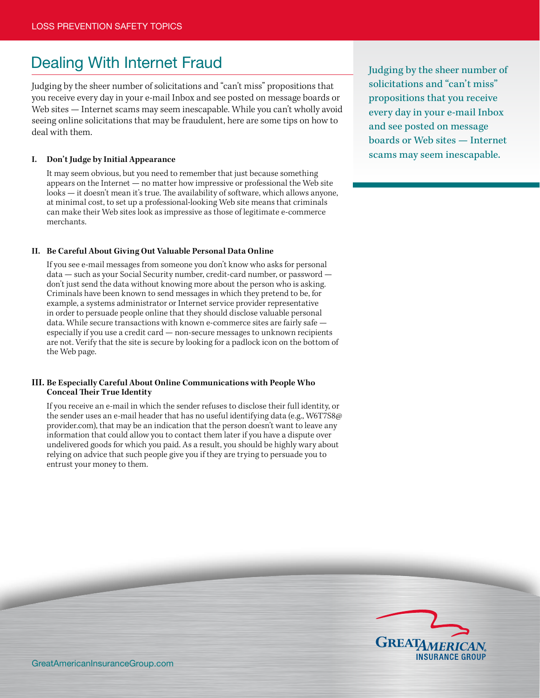# Dealing With Internet Fraud

Judging by the sheer number of solicitations and "can't miss" propositions that you receive every day in your e-mail Inbox and see posted on message boards or Web sites — Internet scams may seem inescapable. While you can't wholly avoid seeing online solicitations that may be fraudulent, here are some tips on how to deal with them.

#### **I. Don't Judge by Initial Appearance**

 It may seem obvious, but you need to remember that just because something appears on the Internet — no matter how impressive or professional the Web site looks — it doesn't mean it's true. The availability of software, which allows anyone, at minimal cost, to set up a professional-looking Web site means that criminals can make their Web sites look as impressive as those of legitimate e-commerce merchants.

#### **II. Be Careful About Giving Out Valuable Personal Data Online**

 If you see e-mail messages from someone you don't know who asks for personal data — such as your Social Security number, credit-card number, or password don't just send the data without knowing more about the person who is asking. Criminals have been known to send messages in which they pretend to be, for example, a systems administrator or Internet service provider representative in order to persuade people online that they should disclose valuable personal data. While secure transactions with known e-commerce sites are fairly safe especially if you use a credit card — non-secure messages to unknown recipients are not. Verify that the site is secure by looking for a padlock icon on the bottom of the Web page.

#### **III. Be Especially Careful About Online Communications with People Who Conceal Their True Identity**

 If you receive an e-mail in which the sender refuses to disclose their full identity, or the sender uses an e-mail header that has no useful identifying data (e.g., W6T7S8@ provider.com), that may be an indication that the person doesn't want to leave any information that could allow you to contact them later if you have a dispute over undelivered goods for which you paid. As a result, you should be highly wary about relying on advice that such people give you if they are trying to persuade you to entrust your money to them.

Judging by the sheer number of solicitations and "can't miss" propositions that you receive every day in your e-mail Inbox and see posted on message boards or Web sites — Internet scams may seem inescapable.